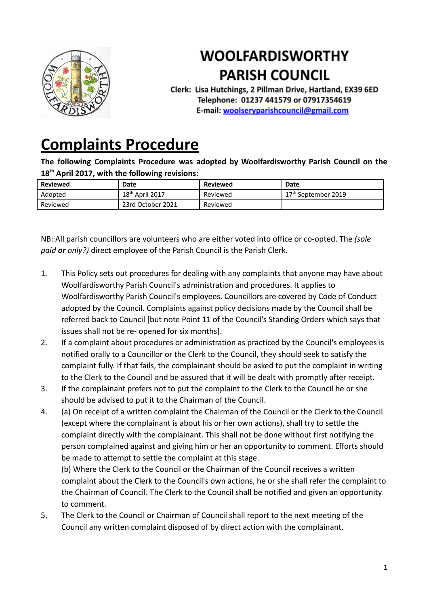

## **WOOLFARDISWORTHY PARISH COUNCIL**

Clerk: Lisa Hutchings, 2 Pillman Drive, Hartland, EX39 6ED Telephone: 01237 441579 or 07917354619 E-mail: woolseryparishcouncil@gmail.com

## **[Complaints](http://www.parkhamparish.org.uk/parish-council/policies/equal-opportunities) Procedure**

**The following Complaints Procedure was adopted by Woolfardisworthy Parish Council on the 18th April 2017, with the following revisions:**

| <b>Reviewed</b> | Date              | Reviewed | <b>Date</b>                     |
|-----------------|-------------------|----------|---------------------------------|
| Adopted         | $18th$ April 2017 | Reviewed | 17 <sup>th</sup> September 2019 |
| Reviewed        | 23rd October 2021 | Reviewed |                                 |

NB: All parish councillors are volunteers who are either voted into office or co-opted. The *(sole paid or only?)* direct employee of the Parish Council is the Parish Clerk.

- 1. This Policy sets out procedures for dealing with any complaints that anyone may have about Woolfardisworthy Parish Council's administration and procedures. It applies to Woolfardisworthy Parish Council's employees. Councillors are covered by Code of Conduct adopted by the Council. Complaints against policy decisions made by the Council shall be referred back to Council [but note Point 11 of the Council's Standing Orders which says that issues shall not be re- opened for six months].
- 2. If a complaint about procedures or administration as practiced by the Council's employees is notified orally to a Councillor or the Clerk to the Council, they should seek to satisfy the complaint fully. If that fails, the complainant should be asked to put the complaint in writing to the Clerk to the Council and be assured that it will be dealt with promptly after receipt.
- 3. If the complainant prefers not to put the complaint to the Clerk to the Council he or she should be advised to put it to the Chairman of the Council.
- 4. (a) On receipt of a written complaint the Chairman of the Council or the Clerk to the Council (except where the complainant is about his or her own actions), shall try to settle the complaint directly with the complainant. This shall not be done without first notifying the person complained against and giving him or her an opportunity to comment. Efforts should be made to attempt to settle the complaint at this stage.

(b) Where the Clerk to the Council or the Chairman of the Council receives a written complaint about the Clerk to the Council's own actions, he or she shall refer the complaint to the Chairman of Council. The Clerk to the Council shall be notified and given an opportunity to comment.

5. The Clerk to the Council or Chairman of Council shall report to the next meeting of the Council any written complaint disposed of by direct action with the complainant.